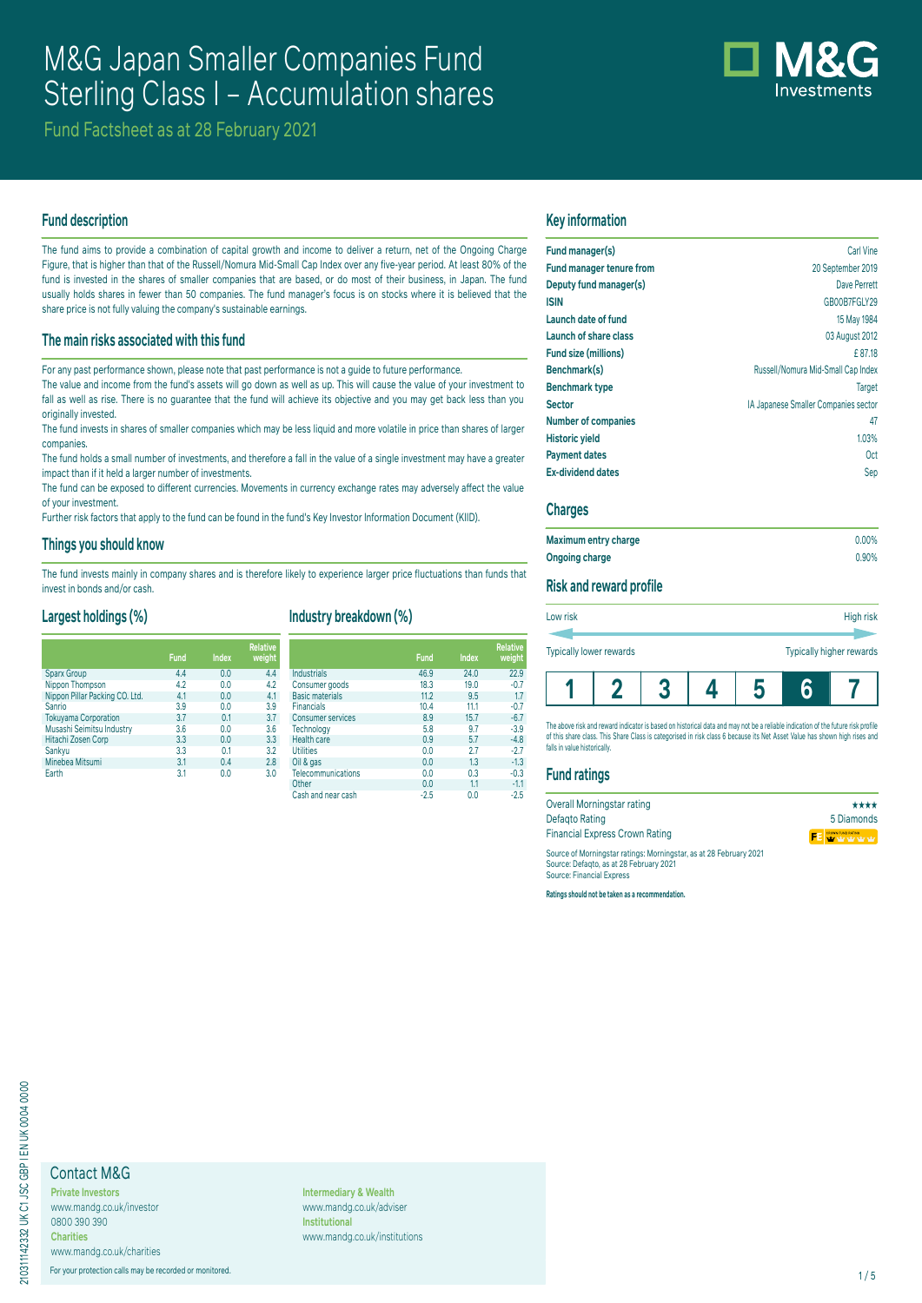# M&G Japan Smaller Companies Fund Sterling Class I – Accumulation shares



Fund Factsheet as at 28 February 2021

### **Fund description**

The fund aims to provide a combination of capital growth and income to deliver a return, net of the Ongoing Charge Figure, that is higher than that of the Russell/Nomura Mid-Small Cap Index over any five-year period. At least 80% of the fund is invested in the shares of smaller companies that are based, or do most of their business, in Japan. The fund usually holds shares in fewer than 50 companies. The fund manager's focus is on stocks where it is believed that the share price is not fully valuing the company's sustainable earnings.

### **The main risks associated with this fund**

For any past performance shown, please note that past performance is not a guide to future performance.

The value and income from the fund's assets will go down as well as up. This will cause the value of your investment to fall as well as rise. There is no guarantee that the fund will achieve its objective and you may get back less than you originally invested.

The fund invests in shares of smaller companies which may be less liquid and more volatile in price than shares of larger companies.

The fund holds a small number of investments, and therefore a fall in the value of a single investment may have a greater impact than if it held a larger number of investments.

The fund can be exposed to different currencies. Movements in currency exchange rates may adversely affect the value of your investment.

Further risk factors that apply to the fund can be found in the fund's Key Investor Information Document (KIID).

### **Things you should know**

The fund invests mainly in company shares and is therefore likely to experience larger price fluctuations than funds that invest in bonds and/or cash.

### **Largest holdings (%)**

|                                | <b>Fund</b> | <b>Index</b> | <b>Relative</b><br>weight |
|--------------------------------|-------------|--------------|---------------------------|
| <b>Sparx Group</b>             | 4.4         | 0.0          | 4.4                       |
| Nippon Thompson                | 4.2         | 0.0          | 4.2                       |
| Nippon Pillar Packing CO. Ltd. | 4.1         | 0.0          | 4.1                       |
| Sanrio                         | 3.9         | 0.0          | 3.9                       |
| <b>Tokuyama Corporation</b>    | 3.7         | 0.1          | 3.7                       |
| Musashi Seimitsu Industry      | 3.6         | 0.0          | 3.6                       |
| Hitachi Zosen Corp             | 3.3         | 0.0          | 3.3                       |
| Sankyu                         | 3.3         | 0.1          | 3.2                       |
| Minebea Mitsumi                | 3.1         | 0.4          | 2.8                       |
| Earth                          | 3.1         | 0.0          | 3.0                       |

# **Industry breakdown (%)**

|                           | <b>Fund</b> | <b>Index</b> | <b>Relative</b><br>weight |
|---------------------------|-------------|--------------|---------------------------|
| <b>Industrials</b>        | 46.9        | 24.0         | 22.9                      |
| Consumer goods            | 18.3        | 19.0         | $-0.7$                    |
| <b>Basic materials</b>    | 11.2        | 9.5          | 1.7                       |
| <b>Financials</b>         | 10.4        | 11.1         | $-0.7$                    |
| <b>Consumer services</b>  | 8.9         | 15.7         | $-6.7$                    |
| Technology                | 5.8         | 9.7          | $-3.9$                    |
| <b>Health care</b>        | 0.9         | 5.7          | $-4.8$                    |
| <b>Utilities</b>          | 0.0         | 2.7          | $-2.7$                    |
| Oil & gas                 | 0.0         | 1.3          | $-1.3$                    |
| <b>Telecommunications</b> | 0.0         | 0.3          | $-0.3$                    |
| Other                     | 0.0         | 1.1          | $-1.1$                    |
| Cash and near cash        | $-2.5$      | 0.0          | $-2.5$                    |

### **Key information**

| Fund manager(s)                 | Carl Vine                            |
|---------------------------------|--------------------------------------|
| <b>Fund manager tenure from</b> | 20 September 2019                    |
| Deputy fund manager(s)          | Dave Perrett                         |
| <b>ISIN</b>                     | GB00B7FGLY29                         |
| Launch date of fund             | 15 May 1984                          |
| Launch of share class           | 03 August 2012                       |
| Fund size (millions)            | £87.18                               |
| Benchmark(s)                    | Russell/Nomura Mid-Small Cap Index   |
| <b>Benchmark type</b>           | Target                               |
| <b>Sector</b>                   | IA Japanese Smaller Companies sector |
| <b>Number of companies</b>      | 47                                   |
| <b>Historic yield</b>           | 1.03%                                |
| <b>Payment dates</b>            | 0ct                                  |
| <b>Ex-dividend dates</b>        | Sep                                  |
|                                 |                                      |

### **Charges**

| Maximum entry charge | $0.00\%$ |
|----------------------|----------|
| Ongoing charge       | 0.90%    |

### **Risk and reward profile**

| Low risk                |  |  |  |                          | High risk |
|-------------------------|--|--|--|--------------------------|-----------|
|                         |  |  |  |                          |           |
| Typically lower rewards |  |  |  | Typically higher rewards |           |
|                         |  |  |  |                          |           |

The above risk and reward indicator is based on historical data and may not be a reliable indication of the future risk profile of this share class. This Share Class is categorised in risk class 6 because its Net Asset Value has shown high rises and falls in value historically.

**1 2 3 4 5 6 7**

### **Fund ratings**

| Overall Morningstar rating                                                                                                                 | ****       |
|--------------------------------------------------------------------------------------------------------------------------------------------|------------|
| Defagto Rating                                                                                                                             | 5 Diamonds |
| <b>Financial Express Crown Rating</b>                                                                                                      | FEWWWW     |
| Source of Morningstar ratings: Morningstar, as at 28 February 2021<br>Source: Defagto, as at 28 February 2021<br>Source: Financial Express |            |

**Ratings should not be taken as a recommendation.**

# Contact M&G

**Private Investors** www.mandg.co.uk/investor 0800 390 390 **Charities**

www.mandg.co.uk/charities For your protection calls may be recorded or monitored. 1/5

**Intermediary & Wealth** www.mandg.co.uk/adviser **Institutional** www.mandg.co.uk/institutions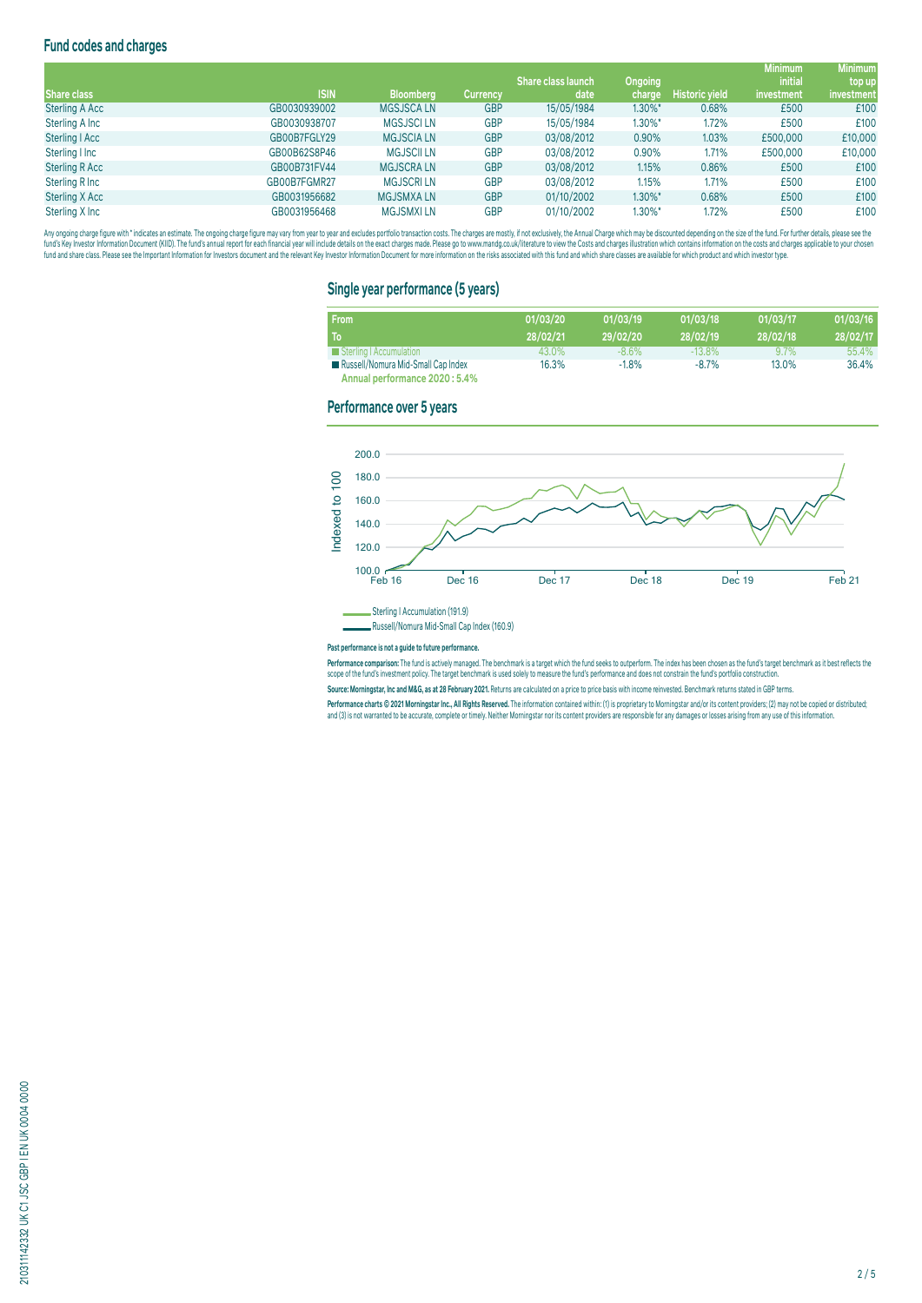# **Fund codes and charges**

|                       |              |                   |                 |                           |                |                       | <b>Minimum</b> | <b>Minimum</b> |
|-----------------------|--------------|-------------------|-----------------|---------------------------|----------------|-----------------------|----------------|----------------|
|                       |              |                   |                 | <b>Share class launch</b> | <b>Ongoing</b> |                       | <i>initial</i> | top up         |
| <b>Share class</b>    | <b>ISIN</b>  | <b>Bloomberg</b>  | <b>Currency</b> | date                      | charge         | <b>Historic yield</b> | investment     | investment     |
| <b>Sterling A Acc</b> | GB0030939002 | <b>MGSJSCALN</b>  | <b>GBP</b>      | 15/05/1984                | $1.30\%$ *     | 0.68%                 | £500           | £100           |
| Sterling A Inc        | GB0030938707 | <b>MGSJSCI LN</b> | <b>GBP</b>      | 15/05/1984                | $1.30\%$ *     | 1.72%                 | £500           | £100           |
| Sterling   Acc        | GB00B7FGLY29 | <b>MGJSCIA LN</b> | <b>GBP</b>      | 03/08/2012                | 0.90%          | 1.03%                 | £500,000       | £10,000        |
| Sterling I Inc        | GB00B62S8P46 | <b>MGJSCII LN</b> | <b>GBP</b>      | 03/08/2012                | 0.90%          | 1.71%                 | £500,000       | £10,000        |
| <b>Sterling R Acc</b> | GB00B731FV44 | <b>MGJSCRALN</b>  | <b>GBP</b>      | 03/08/2012                | 1.15%          | 0.86%                 | £500           | £100           |
| Sterling R Inc        | GB00B7FGMR27 | <b>MGJSCRILN</b>  | <b>GBP</b>      | 03/08/2012                | 1.15%          | 1.71%                 | £500           | £100           |
| Sterling X Acc        | GB0031956682 | <b>MGJSMXALN</b>  | <b>GBP</b>      | 01/10/2002                | $1.30\%$ *     | 0.68%                 | £500           | £100           |
| Sterling X Inc        | GB0031956468 | <b>MGJSMXILN</b>  | <b>GBP</b>      | 01/10/2002                | $1.30\%$ *     | 1.72%                 | £500           | £100           |

Any ongoing charge rigure with "inducates an estimate. The ongoing charge may vary from year to year and excludes portroill transaction costs. The charges are mostly, if not exclusively, the Annual Charge and Charges are o

### **Single year performance (5 years)**

| <b>From</b>                        | 01/03/20 | 01/03/19 | 01/03/18  | 01/03/17 | 01/03/16 |
|------------------------------------|----------|----------|-----------|----------|----------|
| To                                 | 28/02/21 | 29/02/20 | 28/02/19  | 28/02/18 | 28/02/17 |
| Sterling   Accumulation            | 43.0%    | $-8.6\%$ | $-13.8\%$ | $9.7\%$  | 55.4%    |
| Russell/Nomura Mid-Small Cap Index | 16.3%    | $-1.8%$  | $-8.7%$   | 13.0%    | 36.4%    |
| Annual performance 2020 : 5.4%     |          |          |           |          |          |

### **Performance over 5 years**



#### **Past performance is not a guide to future performance.**

rerrormance comparison: The fund is actively managed. The denomiark is a target which the fund's seek to outperform. The index has been chosen as the fund's target denomiark as it dest ferieds the<br>scope of the fund's inves

**Source: Morningstar, Inc and M&G, as at 28 February 2021.** Returns are calculated on a price to price basis with income reinvested. Benchmark returns stated in GBP terms.

Performance charts © 2021 Morningstar Inc., All Rights Reserved. The information contained within: (1) is proprietary to Morningstar and/or its content providers; (2) may not be copied or distributed; and (3) is not warranted to be accurate, complete or timely. Neither Morningstar nor its content providers are responsible for any damages or losses arising from any use of this information.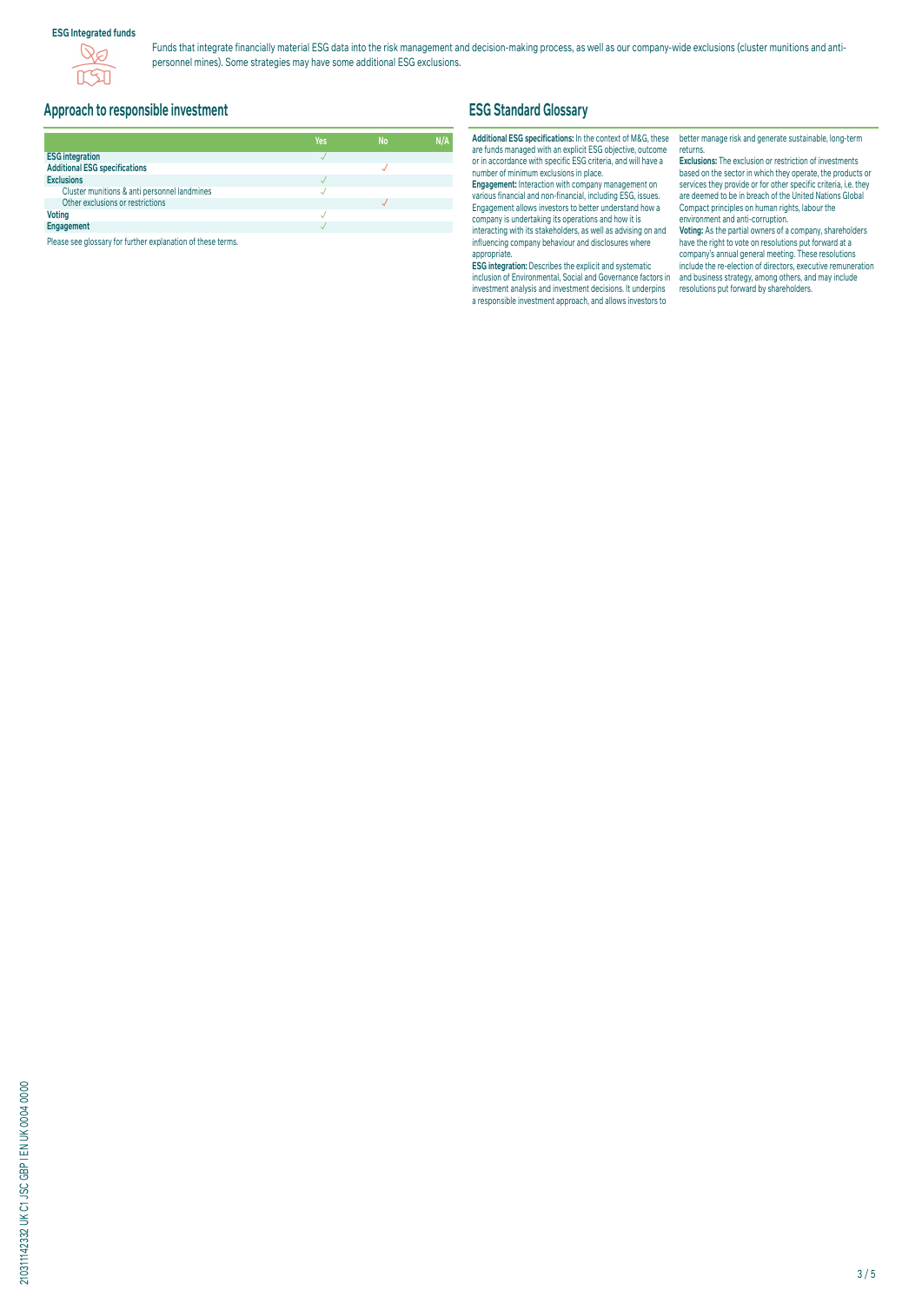### **ESG Integrated funds**



Funds that integrate financially material ESG data into the risk management and decision-making process, as well as our company-wide exclusions (cluster munitions and antipersonnel mines). Some strategies may have some additional ESG exclusions.

# **Approach to responsible investment**

|                                              | Yes | <b>No</b> | N/A |
|----------------------------------------------|-----|-----------|-----|
| <b>ESG integration</b>                       |     |           |     |
| <b>Additional ESG specifications</b>         |     |           |     |
| <b>Exclusions</b>                            |     |           |     |
| Cluster munitions & anti personnel landmines |     |           |     |
| Other exclusions or restrictions             |     |           |     |
| <b>Voting</b>                                |     |           |     |
| Engagement                                   |     |           |     |

Please see glossary for further explanation of these terms.

# **ESG Standard Glossary**

### **Additional ESG specifications:** In the context of M&G, these are funds managed with an explicit ESG objective, outcome or in accordance with specific ESG criteria, and will have a number of minimum exclusions in place.

**Engagement:** Interaction with company management on various financial and non-financial, including ESG, issues. Engagement allows investors to better understand how a company is undertaking its operations and how it is interacting with its stakeholders, as well as advising on and influencing company behaviour and disclosures where appropriate.

**ESG integration:** Describes the explicit and systematic inclusion of Environmental, Social and Governance factors in investment analysis and investment decisions. It underpins a responsible investment approach, and allows investors to

better manage risk and generate sustainable, long-term returns.

**Exclusions:** The exclusion or restriction of investments based on the sector in which they operate, the products or services they provide or for other specific criteria, i.e. they are deemed to be in breach of the United Nations Global Compact principles on human rights, labour the environment and anti-corruption.

**Voting:** As the partial owners of a company, shareholders have the right to vote on resolutions put forward at a company's annual general meeting. These resolutions include the re-election of directors, executive remuneration and business strategy, among others, and may include resolutions put forward by shareholders.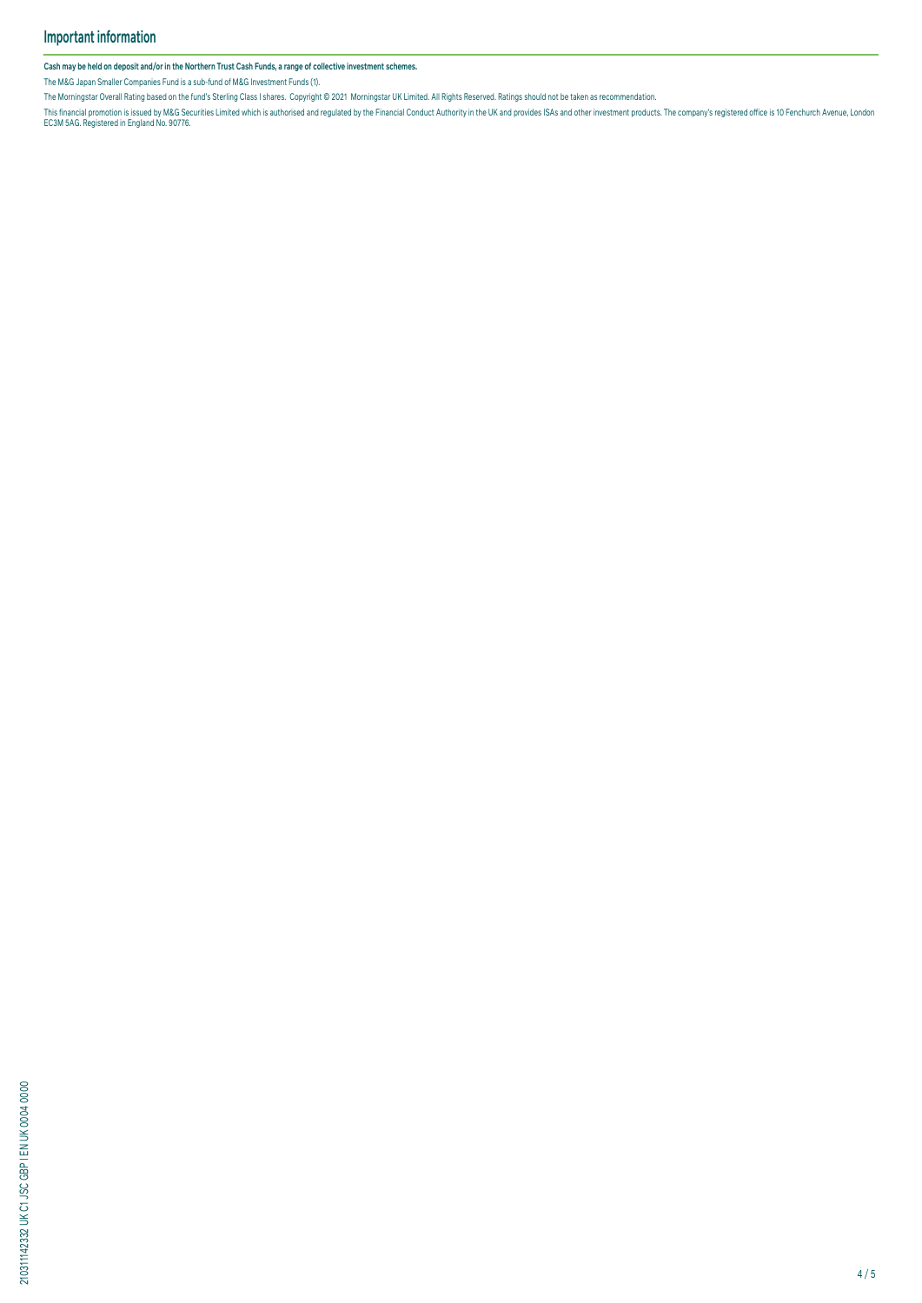**Cash may be held on deposit and/or in the Northern Trust Cash Funds, a range of collective investment schemes.**

The M&G Japan Smaller Companies Fund is a sub-fund of M&G Investment Funds (1).

The Morningstar Overall Rating based on the fund's Sterling Class I shares. Copyright © 2021 Morningstar UK Limited. All Rights Reserved. Ratings should not be taken as recommendation.

This financial promotion is issued by M&G Securities Limited which is authorised and regulated by the Financial Conduct Authority in the UK and provides ISAS and other investment products. The company's registered office i

210311142332 UK C1 JSC GBP I EN UK 0004 0000 210311142332 UK C1 JSC GBP I EN UK 0004 0000